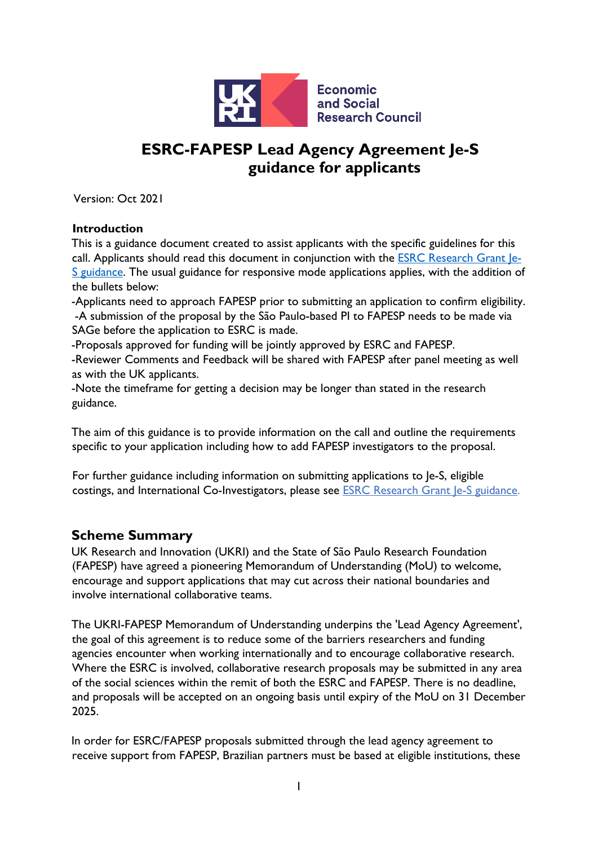

# **ESRC-FAPESP Lead Agency Agreement Je-S guidance for applicants**

Version: Oct 2021

#### **Introduction**

This is a guidance document created to assist applicants with the specific guidelines for this call. Applicants should read this document in conjunction with the **ESRC Research Grant le-**[S guidance.](https://www.ukri.org/wp-content/uploads/2020/09/ESRC-230621-Funding-Opp-ESRCResearchGrantsOpenCall-JeSGuidance.pdf) The usual guidance for responsive mode applications applies, with the addition of the bullets below:

-Applicants need to approach FAPESP prior to submitting an application to confirm eligibility. -A submission of the proposal by the São Paulo-based PI to FAPESP needs to be made via SAGe before the application to ESRC is made.

-Proposals approved for funding will be jointly approved by ESRC and FAPESP.

-Reviewer Comments and Feedback will be shared with FAPESP after panel meeting as well as with the UK applicants.

-Note the timeframe for getting a decision may be longer than stated in the research guidance.

The aim of this guidance is to provide information on the call and outline the requirements specific to your application including how to add FAPESP investigators to the proposal.

For further guidance including information on submitting applications to Je-S, eligible costings, and International Co-Investigators, please see [ESRC Research Grant Je-S guidance.](https://www.ukri.org/wp-content/uploads/2020/09/ESRC-230621-Funding-Opp-ESRCResearchGrantsOpenCall-JeSGuidance.pdf)

## **Scheme Summary**

UK Research and Innovation (UKRI) and the State of São Paulo Research Foundation (FAPESP) have agreed a pioneering Memorandum of Understanding (MoU) to welcome, encourage and support applications that may cut across their national boundaries and involve international collaborative teams.

The UKRI-FAPESP Memorandum of Understanding underpins the 'Lead Agency Agreement', the goal of this agreement is to reduce some of the barriers researchers and funding agencies encounter when working internationally and to encourage collaborative research. Where the ESRC is involved, collaborative research proposals may be submitted in any area of the social sciences within the remit of both the ESRC and FAPESP. There is no deadline, and proposals will be accepted on an ongoing basis until expiry of the MoU on 31 December 2025.

In order for ESRC/FAPESP proposals submitted through the lead agency agreement to receive support from FAPESP, Brazilian partners must be based at eligible institutions, these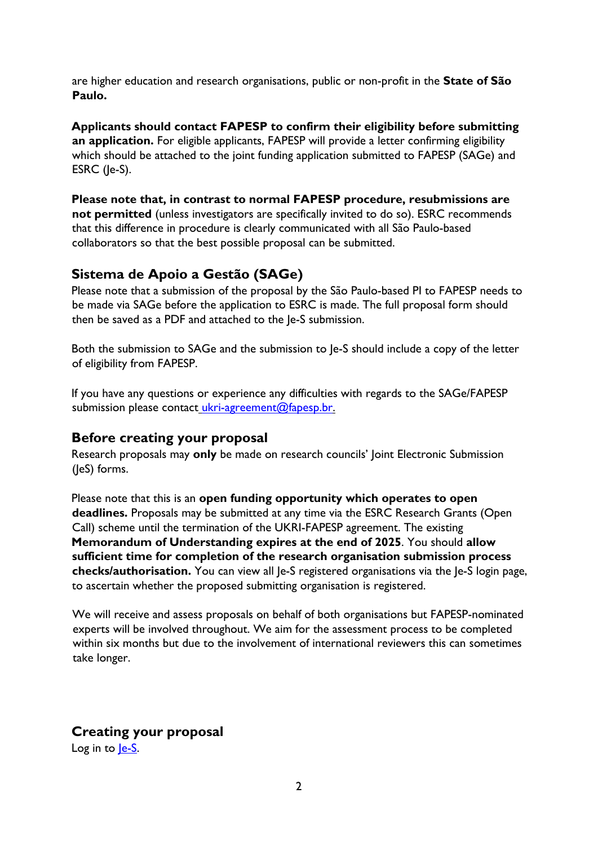are higher education and research organisations, public or non-profit in the **State of São Paulo.** 

**Applicants should contact FAPESP to confirm their eligibility before submitting an application.** For eligible applicants, FAPESP will provide a letter confirming eligibility which should be attached to the joint funding application submitted to FAPESP (SAGe) and ESRC (Je-S).

**Please note that, in contrast to normal FAPESP procedure, resubmissions are not permitted** (unless investigators are specifically invited to do so). ESRC recommends that this difference in procedure is clearly communicated with all São Paulo-based collaborators so that the best possible proposal can be submitted.

# **Sistema de Apoio a Gestão (SAGe)**

Please note that a submission of the proposal by the São Paulo-based PI to FAPESP needs to be made via SAGe before the application to ESRC is made. The full proposal form should then be saved as a PDF and attached to the Je-S submission.

Both the submission to SAGe and the submission to Je-S should include a copy of the letter of eligibility from FAPESP.

If you have any questions or experience any difficulties with regards to the SAGe/FAPESP submission please contact ukri-agreement@fapesp.br.

## **Before creating your proposal**

Research proposals may **only** be made on research councils' Joint Electronic Submission (JeS) forms.

Please note that this is an **open funding opportunity which operates to open deadlines.** Proposals may be submitted at any time via the ESRC Research Grants (Open Call) scheme until the termination of the UKRI-FAPESP agreement. The existing **Memorandum of Understanding expires at the end of 2025**. You should **allow sufficient time for completion of the research organisation submission process checks/authorisation.** You can view all Je-S registered organisations via the Je-S login page, to ascertain whether the proposed submitting organisation is registered.

We will receive and assess proposals on behalf of both organisations but FAPESP-nominated experts will be involved throughout. We aim for the assessment process to be completed within six months but due to the involvement of international reviewers this can sometimes take longer.

# **Creating your proposal**

Log in to le-S.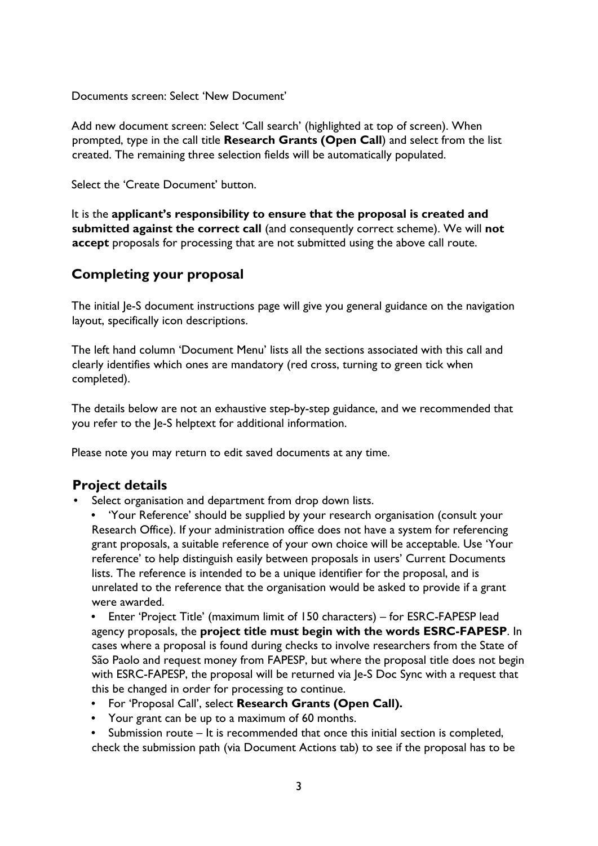Documents screen: Select 'New Document'

Add new document screen: Select 'Call search' (highlighted at top of screen). When prompted, type in the call title **Research Grants (Open Call**) and select from the list created. The remaining three selection fields will be automatically populated.

Select the 'Create Document' button.

It is the **applicant's responsibility to ensure that the proposal is created and submitted against the correct call** (and consequently correct scheme). We will **not accept** proposals for processing that are not submitted using the above call route.

# **Completing your proposal**

The initial Je-S document instructions page will give you general guidance on the navigation layout, specifically icon descriptions.

The left hand column 'Document Menu' lists all the sections associated with this call and clearly identifies which ones are mandatory (red cross, turning to green tick when completed).

The details below are not an exhaustive step-by-step guidance, and we recommended that you refer to the Je-S helptext for additional information.

Please note you may return to edit saved documents at any time.

# **Project details**

- Select organisation and department from drop down lists.
	- 'Your Reference' should be supplied by your research organisation (consult your Research Office). If your administration office does not have a system for referencing grant proposals, a suitable reference of your own choice will be acceptable. Use 'Your reference' to help distinguish easily between proposals in users' Current Documents lists. The reference is intended to be a unique identifier for the proposal, and is unrelated to the reference that the organisation would be asked to provide if a grant were awarded.

• Enter 'Project Title' (maximum limit of 150 characters) – for ESRC-FAPESP lead agency proposals, the **project title must begin with the words ESRC-FAPESP**. In cases where a proposal is found during checks to involve researchers from the State of São Paolo and request money from FAPESP, but where the proposal title does not begin with ESRC-FAPESP, the proposal will be returned via Je-S Doc Sync with a request that this be changed in order for processing to continue.

- For 'Proposal Call', select **Research Grants (Open Call).**
- Your grant can be up to a maximum of 60 months.
- Submission route It is recommended that once this initial section is completed, check the submission path (via Document Actions tab) to see if the proposal has to be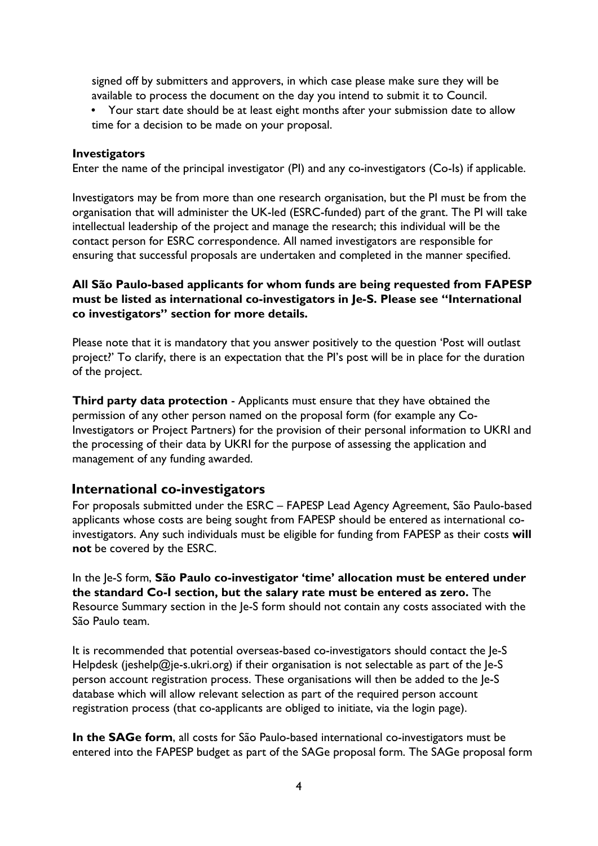signed off by submitters and approvers, in which case please make sure they will be available to process the document on the day you intend to submit it to Council.

• Your start date should be at least eight months after your submission date to allow time for a decision to be made on your proposal.

#### **Investigators**

Enter the name of the principal investigator (PI) and any co-investigators (Co-Is) if applicable.

Investigators may be from more than one research organisation, but the PI must be from the organisation that will administer the UK-led (ESRC-funded) part of the grant. The PI will take intellectual leadership of the project and manage the research; this individual will be the contact person for ESRC correspondence. All named investigators are responsible for ensuring that successful proposals are undertaken and completed in the manner specified.

#### **All São Paulo-based applicants for whom funds are being requested from FAPESP must be listed as international co-investigators in Je-S. Please see "International co investigators" section for more details.**

Please note that it is mandatory that you answer positively to the question 'Post will outlast project?' To clarify, there is an expectation that the PI's post will be in place for the duration of the project.

**Third party data protection** - Applicants must ensure that they have obtained the permission of any other person named on the proposal form (for example any Co-Investigators or Project Partners) for the provision of their personal information to UKRI and the processing of their data by UKRI for the purpose of assessing the application and management of any funding awarded.

#### **International co-investigators**

For proposals submitted under the ESRC – FAPESP Lead Agency Agreement, São Paulo-based applicants whose costs are being sought from FAPESP should be entered as international coinvestigators. Any such individuals must be eligible for funding from FAPESP as their costs **will not** be covered by the ESRC.

In the Je-S form, **São Paulo co-investigator 'time' allocation must be entered under the standard Co-I section, but the salary rate must be entered as zero.** The Resource Summary section in the Je-S form should not contain any costs associated with the São Paulo team.

It is recommended that potential overseas-based co-investigators should contact the Je-S Helpdesk (jeshelp@je-s.ukri.org) if their organisation is not selectable as part of the le-S person account registration process. These organisations will then be added to the Je-S database which will allow relevant selection as part of the required person account registration process (that co-applicants are obliged to initiate, via the login page).

**In the SAGe form**, all costs for São Paulo-based international co-investigators must be entered into the FAPESP budget as part of the SAGe proposal form. The SAGe proposal form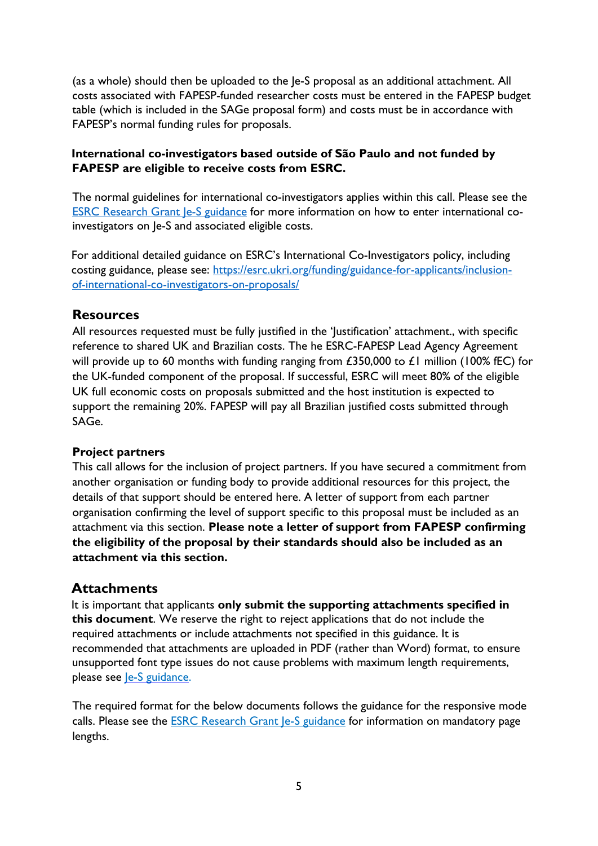(as a whole) should then be uploaded to the Je-S proposal as an additional attachment. All costs associated with FAPESP-funded researcher costs must be entered in the FAPESP budget table (which is included in the SAGe proposal form) and costs must be in accordance with FAPESP's normal funding rules for proposals.

#### **International co-investigators based outside of São Paulo and not funded by FAPESP are eligible to receive costs from ESRC.**

The normal guidelines for international co-investigators applies within this call. Please see the [ESRC Research Grant Je-S guidance](https://www.ukri.org/wp-content/uploads/2020/09/ESRC-230621-Funding-Opp-ESRCResearchGrantsOpenCall-JeSGuidance.pdf) for more information on how to enter international coinvestigators on Je-S and associated eligible costs.

For additional detailed guidance on ESRC's International Co-Investigators policy, including costing guidance, please see: [https://esrc.ukri.org/funding/guidance-for-applicants/inclusion](https://esrc.ukri.org/funding/guidance-for-applicants/inclusion-of-international-co-investigators-on-proposals/)[of-international-co-investigators-on-proposals/](https://esrc.ukri.org/funding/guidance-for-applicants/inclusion-of-international-co-investigators-on-proposals/)

## **Resources**

All resources requested must be fully justified in the 'Justification' attachment., with specific reference to shared UK and Brazilian costs. The he ESRC-FAPESP Lead Agency Agreement will provide up to 60 months with funding ranging from £350,000 to £1 million (100% fEC) for the UK-funded component of the proposal. If successful, ESRC will meet 80% of the eligible UK full economic costs on proposals submitted and the host institution is expected to support the remaining 20%. FAPESP will pay all Brazilian justified costs submitted through SAGe.

#### **Project partners**

This call allows for the inclusion of project partners. If you have secured a commitment from another organisation or funding body to provide additional resources for this project, the details of that support should be entered here. A letter of support from each partner organisation confirming the level of support specific to this proposal must be included as an attachment via this section. **Please note a letter of support from FAPESP confirming the eligibility of the proposal by their standards should also be included as an attachment via this section.**

## **Attachments**

It is important that applicants **only submit the supporting attachments specified in this document**. We reserve the right to reject applications that do not include the required attachments or include attachments not specified in this guidance. It is recommended that attachments are uploaded in PDF (rather than Word) format, to ensure unsupported font type issues do not cause problems with maximum length requirements, please see <u>Je-S guidance</u>.

The required format for the below documents follows the guidance for the responsive mode calls. Please see the **ESRC Research Grant Je-S guidance** for information on mandatory page lengths.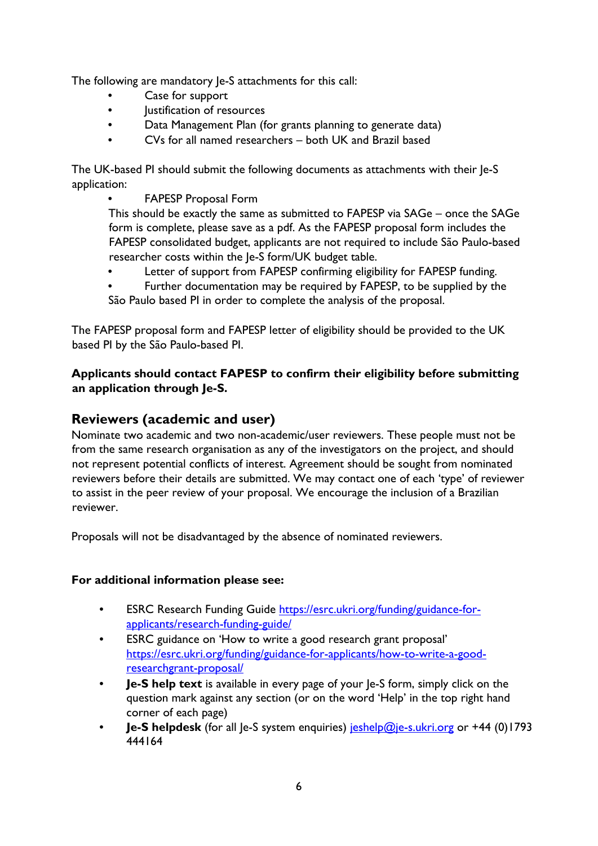The following are mandatory Je-S attachments for this call:

- Case for support
- Justification of resources
- Data Management Plan (for grants planning to generate data)
- CVs for all named researchers both UK and Brazil based

The UK-based PI should submit the following documents as attachments with their Je-S application:

• FAPESP Proposal Form

This should be exactly the same as submitted to FAPESP via SAGe – once the SAGe form is complete, please save as a pdf. As the FAPESP proposal form includes the FAPESP consolidated budget, applicants are not required to include São Paulo-based researcher costs within the Je-S form/UK budget table.

- Letter of support from FAPESP confirming eligibility for FAPESP funding.
- Further documentation may be required by FAPESP, to be supplied by the São Paulo based PI in order to complete the analysis of the proposal.

The FAPESP proposal form and FAPESP letter of eligibility should be provided to the UK based PI by the São Paulo-based PI.

### **Applicants should contact FAPESP to confirm their eligibility before submitting an application through Je-S.**

# **Reviewers (academic and user)**

Nominate two academic and two non-academic/user reviewers. These people must not be from the same research organisation as any of the investigators on the project, and should not represent potential conflicts of interest. Agreement should be sought from nominated reviewers before their details are submitted. We may contact one of each 'type' of reviewer to assist in the peer review of your proposal. We encourage the inclusion of a Brazilian reviewer.

Proposals will not be disadvantaged by the absence of nominated reviewers.

#### **For additional information please see:**

- ESRC Research Funding Guide [https://esrc.ukri.org/funding/guidance-for](https://esrc.ukri.org/funding/guidance-for-applicants/research-funding-guide/)[applicants/research-funding-guide/](https://esrc.ukri.org/funding/guidance-for-applicants/research-funding-guide/)
- ESRC guidance on 'How to write a good research grant proposal' [https://esrc.ukri.org/funding/guidance-for-applicants/how-to-write-a-good](https://esrc.ukri.org/funding/guidance-for-applicants/how-to-write-a-good-research-grant-proposal/)[researchgrant-proposal/](https://esrc.ukri.org/funding/guidance-for-applicants/how-to-write-a-good-research-grant-proposal/)
- **Je-S help text** is available in every page of your Je-S form, simply click on the question mark against any section (or on the word 'Help' in the top right hand corner of each page)
- **Je-S helpdesk** (for all Je-S system enquiries) jeshelp@je-s.ukri.org or +44 (0)1793 444164